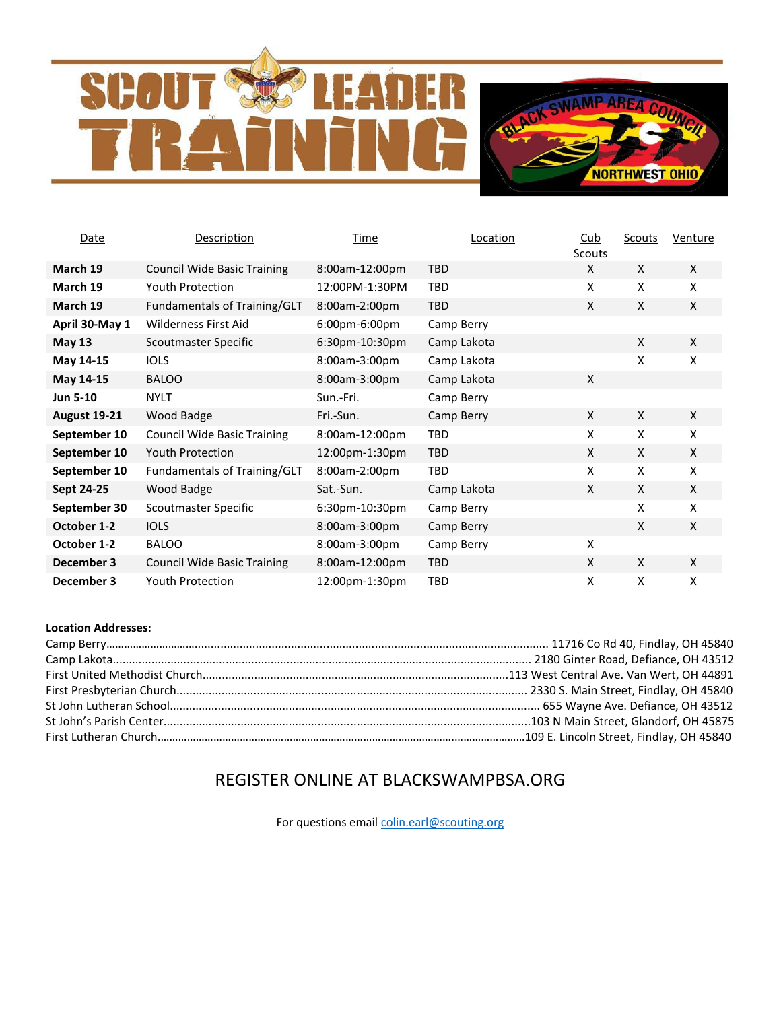# R **SCO**



| Date                | Description                        | <b>Time</b>    | Location    | $\frac{\text{Cub}}{\text{Cub}}$<br>Scouts | Scouts | Venture      |
|---------------------|------------------------------------|----------------|-------------|-------------------------------------------|--------|--------------|
| March 19            | <b>Council Wide Basic Training</b> | 8:00am-12:00pm | <b>TBD</b>  | X                                         | X      | $\mathsf{X}$ |
| March 19            | <b>Youth Protection</b>            | 12:00PM-1:30PM | <b>TBD</b>  | X                                         | X      | X            |
| March 19            | Fundamentals of Training/GLT       | 8:00am-2:00pm  | <b>TBD</b>  | X                                         | X      | $\mathsf{X}$ |
| April 30-May 1      | Wilderness First Aid               | 6:00pm-6:00pm  | Camp Berry  |                                           |        |              |
| <b>May 13</b>       | Scoutmaster Specific               | 6:30pm-10:30pm | Camp Lakota |                                           | X      | X            |
| May 14-15           | <b>IOLS</b>                        | 8:00am-3:00pm  | Camp Lakota |                                           | X      | X            |
| May 14-15           | <b>BALOO</b>                       | 8:00am-3:00pm  | Camp Lakota | X                                         |        |              |
| <b>Jun 5-10</b>     | <b>NYLT</b>                        | Sun.-Fri.      | Camp Berry  |                                           |        |              |
| <b>August 19-21</b> | Wood Badge                         | Fri.-Sun.      | Camp Berry  | X                                         | X      | X            |
| September 10        | <b>Council Wide Basic Training</b> | 8:00am-12:00pm | <b>TBD</b>  | X                                         | X      | X            |
| September 10        | <b>Youth Protection</b>            | 12:00pm-1:30pm | <b>TBD</b>  | X                                         | X      | $\mathsf{X}$ |
| September 10        | Fundamentals of Training/GLT       | 8:00am-2:00pm  | TBD         | X                                         | X      | X            |
| Sept 24-25          | Wood Badge                         | Sat.-Sun.      | Camp Lakota | X                                         | X      | $\mathsf{X}$ |
| September 30        | Scoutmaster Specific               | 6:30pm-10:30pm | Camp Berry  |                                           | X      | X            |
| October 1-2         | <b>IOLS</b>                        | 8:00am-3:00pm  | Camp Berry  |                                           | X      | $\mathsf{X}$ |
| October 1-2         | <b>BALOO</b>                       | 8:00am-3:00pm  | Camp Berry  | X                                         |        |              |
| December 3          | <b>Council Wide Basic Training</b> | 8:00am-12:00pm | <b>TBD</b>  | X                                         | X      | $\mathsf{X}$ |
| December 3          | <b>Youth Protection</b>            | 12:00pm-1:30pm | TBD         | X                                         | X      | x            |

### **Location Addresses:**

# REGISTER ONLINE AT BLACKSWAMPBSA.ORG

For questions emai[l colin.earl@scouting.org](mailto:colin.earl@scouting.org)